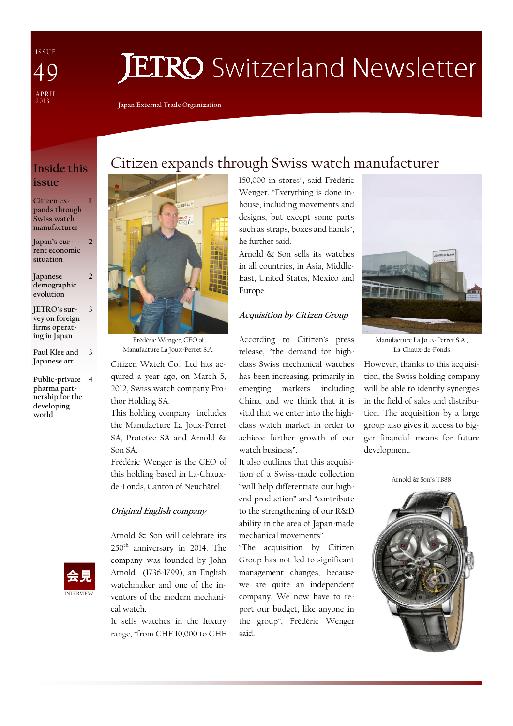I S S U E A P R I L<br>2013 49

# **JETRO** Switzerland Newsletter

Japan External Trade Organization

### Inside this issue

1

2

 $\overline{\mathcal{L}}$ 

3

#### Citizen expands through Swiss watch manufacturer

Japan's current economic situation

Japanese demographic evolution

JETRO's survey on foreign firms operating in Japan

Paul Klee and Japanese art 3

Public-private 4 pharma partnership for the developing world



Frédéric Wenger, CEO of Manufacture La Joux-Perret S.A.

Citizen Watch Co., Ltd has acquired a year ago, on March 5, 2012, Swiss watch company Prothor Holding SA.

This holding company includes the Manufacture La Joux-Perret SA, Prototec SA and Arnold & Son SA.

Frédéric Wenger is the CEO of this holding based in La-Chauxde-Fonds, Canton of Neuchâtel.

#### Original English company



Arnold & Son will celebrate its 250th anniversary in 2014. The company was founded by John Arnold (1736-1799), an English watchmaker and one of the inventors of the modern mechanical watch.

It sells watches in the luxury range, "from CHF 10,000 to CHF 150,000 in stores", said Frédéric Wenger. "Everything is done inhouse, including movements and designs, but except some parts such as straps, boxes and hands", he further said.

Citizen expands through Swiss watch manufacturer

Arnold & Son sells its watches in all countries, in Asia, Middle-East, United States, Mexico and Europe.

#### Acquisition by Citizen Group

According to Citizen's press release, "the demand for highclass Swiss mechanical watches has been increasing, primarily in emerging markets including China, and we think that it is vital that we enter into the highclass watch market in order to achieve further growth of our watch business".

It also outlines that this acquisition of a Swiss-made collection "will help differentiate our highend production" and "contribute to the strengthening of our R&D ability in the area of Japan-made mechanical movements".

"The acquisition by Citizen Group has not led to significant management changes, because we are quite an independent company. We now have to report our budget, like anyone in the group", Frédéric Wenger said.



Manufacture La Joux-Perret S.A., La-Chaux-de-Fonds

However, thanks to this acquisition, the Swiss holding company will be able to identify synergies in the field of sales and distribution. The acquisition by a large group also gives it access to bigger financial means for future development.

Arnold & Son's TB88

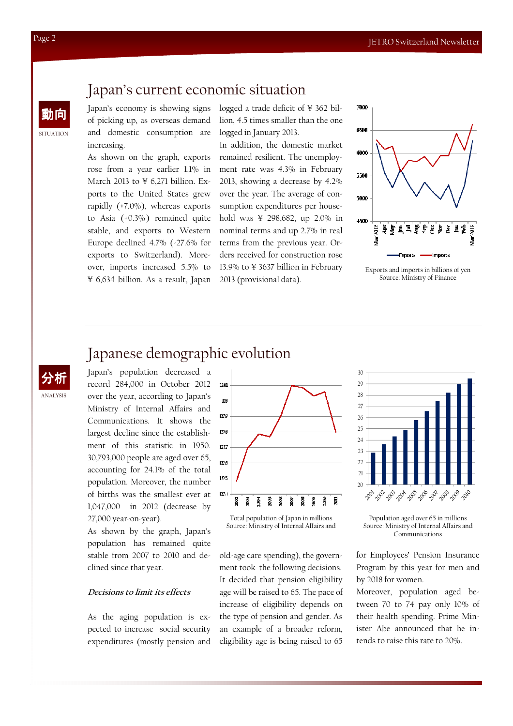## Japan's current economic situation

動向 Japan's economy is showing signs of picking up, as overseas demand and domestic consumption are increasing.

> As shown on the graph, exports rose from a year earlier 1.1% in March 2013 to  $\angle$  6,271 billion. Exports to the United States grew rapidly (+7.0%), whereas exports to Asia (+0.3%) remained quite stable, and exports to Western Europe declined 4.7% (-27.6% for exports to Switzerland). Moreover, imports increased 5.5% to ¥ 6,634 billion. As a result, Japan

logged a trade deficit of ¥ 362 billion, 4.5 times smaller than the one logged in January 2013.

In addition, the domestic market remained resilient. The unemployment rate was 4.3% in February 2013, showing a decrease by 4.2% over the year. The average of consumption expenditures per household was ¥ 298,682, up 2.0% in nominal terms and up 2.7% in real terms from the previous year. Orders received for construction rose 13.9% to ¥ 3637 billion in February 2013 (provisional data).



Exports and imports in billions of yen Source: Ministry of Finance

# Japanese demographic evolution

Japan's population decreased a record 284,000 in October 2012 over the year, according to Japan's Ministry of Internal Affairs and Communications. It shows the largest decline since the establishment of this statistic in 1950. 30,793,000 people are aged over 65, accounting for 24.1% of the total population. Moreover, the number of births was the smallest ever at 1,047,000 in 2012 (decrease by 27,000 year-on-year).

As shown by the graph, Japan's population has remained quite stable from 2007 to 2010 and declined since that year.

#### Decisions to limit its effects

As the aging population is expected to increase social security expenditures (mostly pension and



Total population of Japan in millions Source: Ministry of Internal Affairs and

old-age care spending), the government took the following decisions. It decided that pension eligibility age will be raised to 65. The pace of increase of eligibility depends on the type of pension and gender. As an example of a broader reform, eligibility age is being raised to 65



Population aged over 65 in millions Source: Ministry of Internal Affairs and Communications

for Employees' Pension Insurance Program by this year for men and by 2018 for women.

Moreover, population aged between 70 to 74 pay only 10% of their health spending. Prime Minister Abe announced that he intends to raise this rate to 20%.

SITUATION

ANALYSIS 分析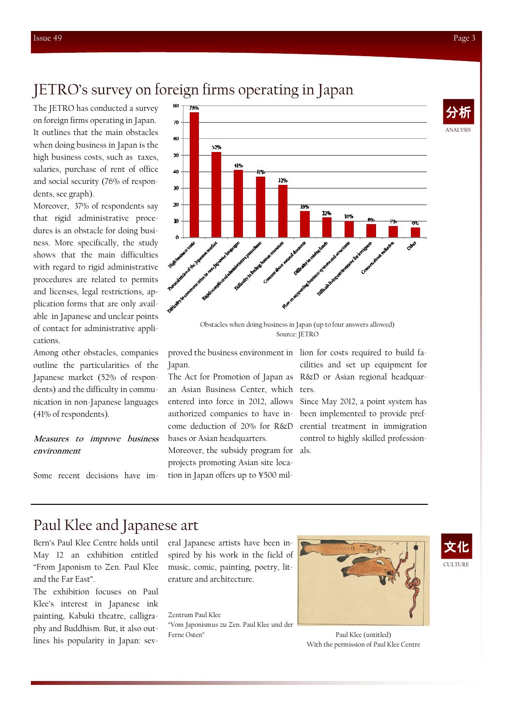ANALYSIS

## JETRO's survey on foreign firms operating in Japan

The JETRO has conducted a survey on foreign firms operating in Japan. It outlines that the main obstacles when doing business in Japan is the high business costs, such as taxes, salaries, purchase of rent of office and social security (76% of respondents, see graph).

Moreover, 37% of respondents say that rigid administrative procedures is an obstacle for doing business. More specifically, the study shows that the main difficulties with regard to rigid administrative procedures are related to permits and licenses, legal restrictions, application forms that are only available in Japanese and unclear points of contact for administrative applications.

Among other obstacles, companies outline the particularities of the Japanese market (52% of respondents) and the difficulty in communication in non-Japanese languages (41% of respondents).

#### Measures to improve business environment

Some recent decisions have im-



Obstacles when doing business in Japan (up to four answers allowed) Source: JETRO

proved the business environment in lion for costs required to build fa-Japan.

The Act for Promotion of Japan as an Asian Business Center, which entered into force in 2012, allows authorized companies to have income deduction of 20% for R&D bases or Asian headquarters. Moreover, the subsidy program for projects promoting Asian site loca-

tion in Japan offers up to ¥500 mil-

cilities and set up equipment for R&D or Asian regional headquarters.

Since May 2012, a point system has been implemented to provide preferential treatment in immigration control to highly skilled professionals.

# Paul Klee and Japanese art

Bern's Paul Klee Centre holds until May 12 an exhibition entitled "From Japonism to Zen. Paul Klee and the Far East".

The exhibition focuses on Paul Klee's interest in Japanese ink painting, Kabuki theatre, calligraphy and Buddhism. But, it also outlines his popularity in Japan: several Japanese artists have been inspired by his work in the field of music, comic, painting, poetry, literature and architecture.

Zentrum Paul Klee "Vom Japonismus zu Zen. Paul Klee und der Ferne Osten"





Paul Klee (untitled) With the permission of Paul Klee Centre